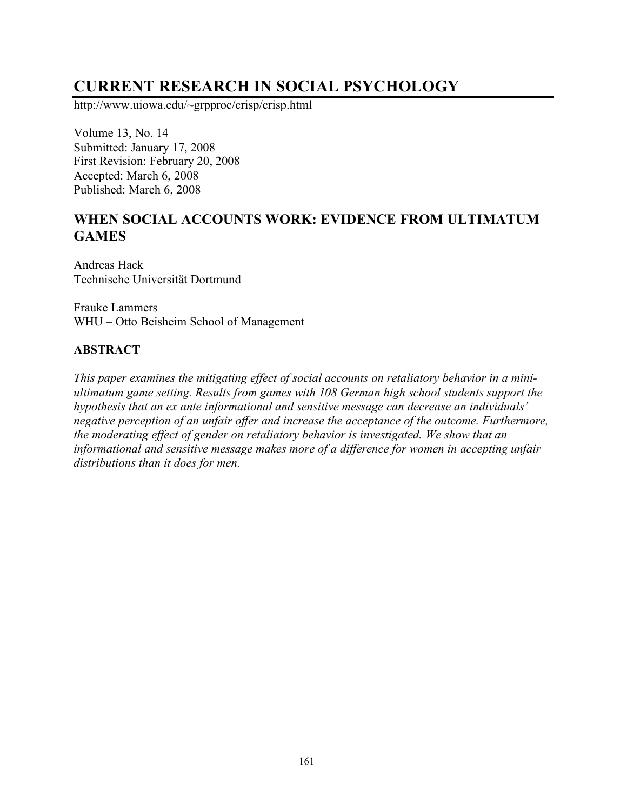# **CURRENT RESEARCH IN SOCIAL PSYCHOLOGY**

http://www.uiowa.edu/~grpproc/crisp/crisp.html

Volume 13, No. 14 Submitted: January 17, 2008 First Revision: February 20, 2008 Accepted: March 6, 2008 Published: March 6, 2008

# **WHEN SOCIAL ACCOUNTS WORK: EVIDENCE FROM ULTIMATUM GAMES**

Andreas Hack Technische Universität Dortmund

Frauke Lammers WHU – Otto Beisheim School of Management

### **ABSTRACT**

*This paper examines the mitigating effect of social accounts on retaliatory behavior in a miniultimatum game setting. Results from games with 108 German high school students support the hypothesis that an ex ante informational and sensitive message can decrease an individuals' negative perception of an unfair offer and increase the acceptance of the outcome. Furthermore, the moderating effect of gender on retaliatory behavior is investigated. We show that an informational and sensitive message makes more of a difference for women in accepting unfair distributions than it does for men.*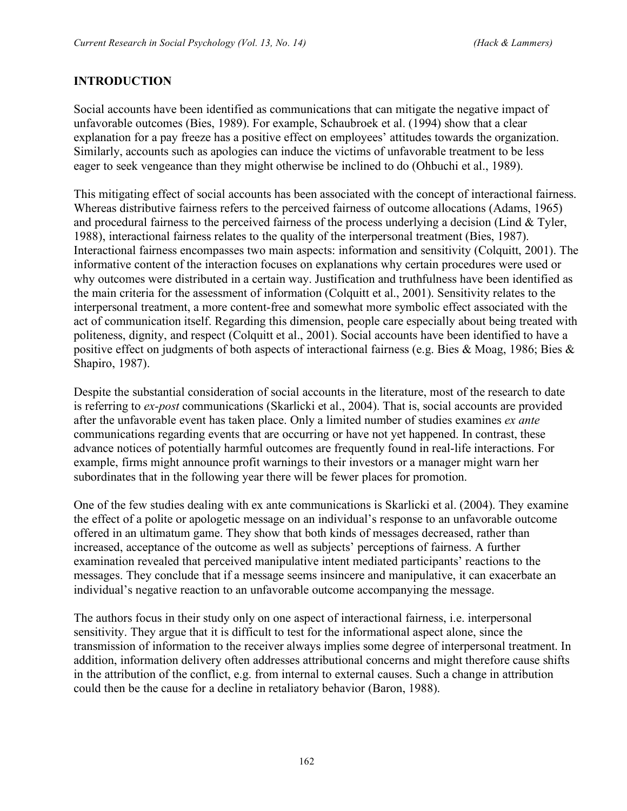## **INTRODUCTION**

Social accounts have been identified as communications that can mitigate the negative impact of unfavorable outcomes (Bies, 1989). For example, Schaubroek et al. (1994) show that a clear explanation for a pay freeze has a positive effect on employees' attitudes towards the organization. Similarly, accounts such as apologies can induce the victims of unfavorable treatment to be less eager to seek vengeance than they might otherwise be inclined to do (Ohbuchi et al., 1989).

This mitigating effect of social accounts has been associated with the concept of interactional fairness. Whereas distributive fairness refers to the perceived fairness of outcome allocations (Adams, 1965) and procedural fairness to the perceived fairness of the process underlying a decision (Lind & Tyler, 1988), interactional fairness relates to the quality of the interpersonal treatment (Bies, 1987). Interactional fairness encompasses two main aspects: information and sensitivity (Colquitt, 2001). The informative content of the interaction focuses on explanations why certain procedures were used or why outcomes were distributed in a certain way. Justification and truthfulness have been identified as the main criteria for the assessment of information (Colquitt et al., 2001). Sensitivity relates to the interpersonal treatment, a more content-free and somewhat more symbolic effect associated with the act of communication itself. Regarding this dimension, people care especially about being treated with politeness, dignity, and respect (Colquitt et al., 2001). Social accounts have been identified to have a positive effect on judgments of both aspects of interactional fairness (e.g. Bies & Moag, 1986; Bies & Shapiro, 1987).

Despite the substantial consideration of social accounts in the literature, most of the research to date is referring to *ex-post* communications (Skarlicki et al., 2004). That is, social accounts are provided after the unfavorable event has taken place. Only a limited number of studies examines *ex ante* communications regarding events that are occurring or have not yet happened. In contrast, these advance notices of potentially harmful outcomes are frequently found in real-life interactions. For example, firms might announce profit warnings to their investors or a manager might warn her subordinates that in the following year there will be fewer places for promotion.

One of the few studies dealing with ex ante communications is Skarlicki et al. (2004). They examine the effect of a polite or apologetic message on an individual's response to an unfavorable outcome offered in an ultimatum game. They show that both kinds of messages decreased, rather than increased, acceptance of the outcome as well as subjects' perceptions of fairness. A further examination revealed that perceived manipulative intent mediated participants' reactions to the messages. They conclude that if a message seems insincere and manipulative, it can exacerbate an individual's negative reaction to an unfavorable outcome accompanying the message.

The authors focus in their study only on one aspect of interactional fairness, i.e. interpersonal sensitivity. They argue that it is difficult to test for the informational aspect alone, since the transmission of information to the receiver always implies some degree of interpersonal treatment. In addition, information delivery often addresses attributional concerns and might therefore cause shifts in the attribution of the conflict, e.g. from internal to external causes. Such a change in attribution could then be the cause for a decline in retaliatory behavior (Baron, 1988).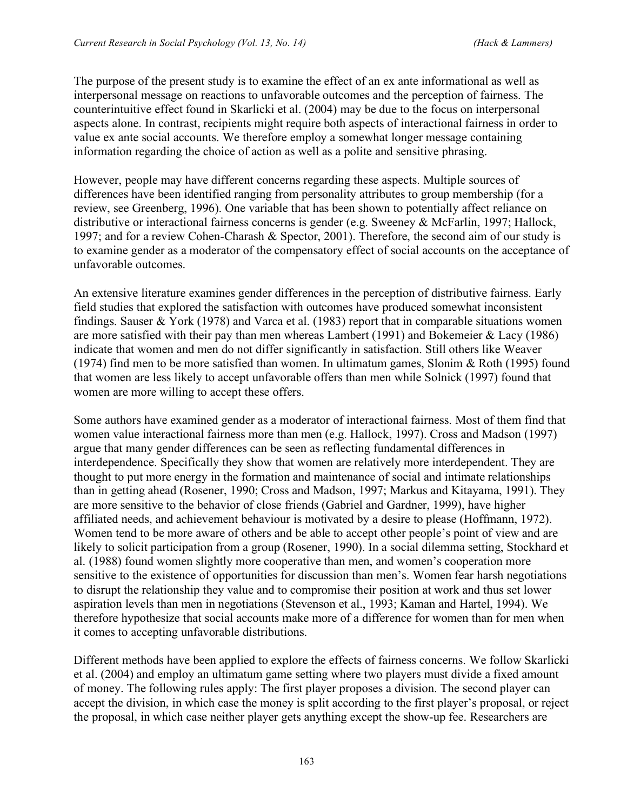The purpose of the present study is to examine the effect of an ex ante informational as well as interpersonal message on reactions to unfavorable outcomes and the perception of fairness. The counterintuitive effect found in Skarlicki et al. (2004) may be due to the focus on interpersonal aspects alone. In contrast, recipients might require both aspects of interactional fairness in order to value ex ante social accounts. We therefore employ a somewhat longer message containing information regarding the choice of action as well as a polite and sensitive phrasing.

However, people may have different concerns regarding these aspects. Multiple sources of differences have been identified ranging from personality attributes to group membership (for a review, see Greenberg, 1996). One variable that has been shown to potentially affect reliance on distributive or interactional fairness concerns is gender (e.g. Sweeney & McFarlin, 1997; Hallock, 1997; and for a review Cohen-Charash & Spector, 2001). Therefore, the second aim of our study is to examine gender as a moderator of the compensatory effect of social accounts on the acceptance of unfavorable outcomes.

An extensive literature examines gender differences in the perception of distributive fairness. Early field studies that explored the satisfaction with outcomes have produced somewhat inconsistent findings. Sauser & York (1978) and Varca et al. (1983) report that in comparable situations women are more satisfied with their pay than men whereas Lambert (1991) and Bokemeier & Lacy (1986) indicate that women and men do not differ significantly in satisfaction. Still others like Weaver (1974) find men to be more satisfied than women. In ultimatum games, Slonim & Roth (1995) found that women are less likely to accept unfavorable offers than men while Solnick (1997) found that women are more willing to accept these offers.

Some authors have examined gender as a moderator of interactional fairness. Most of them find that women value interactional fairness more than men (e.g. Hallock, 1997). Cross and Madson (1997) argue that many gender differences can be seen as reflecting fundamental differences in interdependence. Specifically they show that women are relatively more interdependent. They are thought to put more energy in the formation and maintenance of social and intimate relationships than in getting ahead (Rosener, 1990; Cross and Madson, 1997; Markus and Kitayama, 1991). They are more sensitive to the behavior of close friends (Gabriel and Gardner, 1999), have higher affiliated needs, and achievement behaviour is motivated by a desire to please (Hoffmann, 1972). Women tend to be more aware of others and be able to accept other people's point of view and are likely to solicit participation from a group (Rosener, 1990). In a social dilemma setting, Stockhard et al. (1988) found women slightly more cooperative than men, and women's cooperation more sensitive to the existence of opportunities for discussion than men's. Women fear harsh negotiations to disrupt the relationship they value and to compromise their position at work and thus set lower aspiration levels than men in negotiations (Stevenson et al., 1993; Kaman and Hartel, 1994). We therefore hypothesize that social accounts make more of a difference for women than for men when it comes to accepting unfavorable distributions.

Different methods have been applied to explore the effects of fairness concerns. We follow Skarlicki et al. (2004) and employ an ultimatum game setting where two players must divide a fixed amount of money. The following rules apply: The first player proposes a division. The second player can accept the division, in which case the money is split according to the first player's proposal, or reject the proposal, in which case neither player gets anything except the show-up fee. Researchers are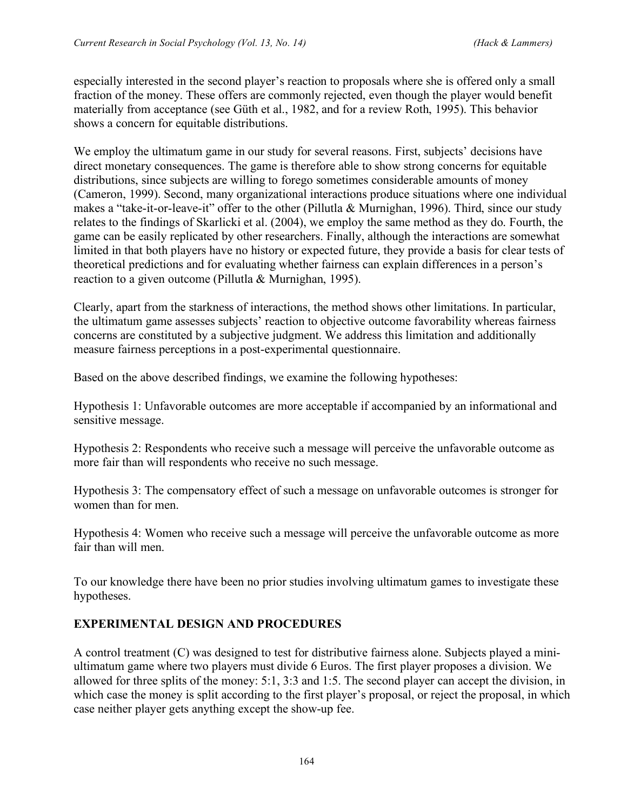especially interested in the second player's reaction to proposals where she is offered only a small fraction of the money. These offers are commonly rejected, even though the player would benefit materially from acceptance (see Güth et al., 1982, and for a review Roth, 1995). This behavior shows a concern for equitable distributions.

We employ the ultimatum game in our study for several reasons. First, subjects' decisions have direct monetary consequences. The game is therefore able to show strong concerns for equitable distributions, since subjects are willing to forego sometimes considerable amounts of money (Cameron, 1999). Second, many organizational interactions produce situations where one individual makes a "take-it-or-leave-it" offer to the other (Pillutla & Murnighan, 1996). Third, since our study relates to the findings of Skarlicki et al. (2004), we employ the same method as they do. Fourth, the game can be easily replicated by other researchers. Finally, although the interactions are somewhat limited in that both players have no history or expected future, they provide a basis for clear tests of theoretical predictions and for evaluating whether fairness can explain differences in a person's reaction to a given outcome (Pillutla & Murnighan, 1995).

Clearly, apart from the starkness of interactions, the method shows other limitations. In particular, the ultimatum game assesses subjects' reaction to objective outcome favorability whereas fairness concerns are constituted by a subjective judgment. We address this limitation and additionally measure fairness perceptions in a post-experimental questionnaire.

Based on the above described findings, we examine the following hypotheses:

Hypothesis 1: Unfavorable outcomes are more acceptable if accompanied by an informational and sensitive message.

Hypothesis 2: Respondents who receive such a message will perceive the unfavorable outcome as more fair than will respondents who receive no such message.

Hypothesis 3: The compensatory effect of such a message on unfavorable outcomes is stronger for women than for men.

Hypothesis 4: Women who receive such a message will perceive the unfavorable outcome as more fair than will men.

To our knowledge there have been no prior studies involving ultimatum games to investigate these hypotheses.

# **EXPERIMENTAL DESIGN AND PROCEDURES**

A control treatment (C) was designed to test for distributive fairness alone. Subjects played a miniultimatum game where two players must divide 6 Euros. The first player proposes a division. We allowed for three splits of the money: 5:1, 3:3 and 1:5. The second player can accept the division, in which case the money is split according to the first player's proposal, or reject the proposal, in which case neither player gets anything except the show-up fee.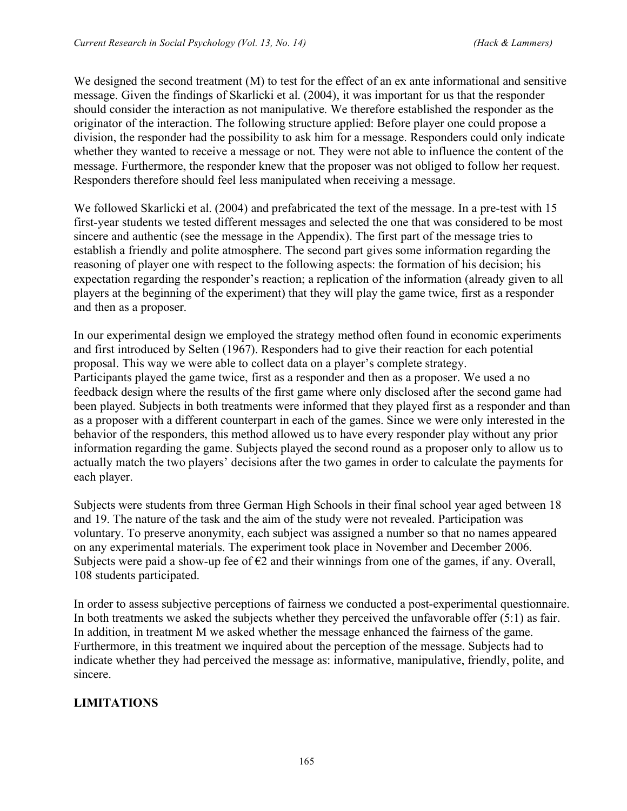We designed the second treatment (M) to test for the effect of an ex ante informational and sensitive message. Given the findings of Skarlicki et al. (2004), it was important for us that the responder should consider the interaction as not manipulative. We therefore established the responder as the originator of the interaction. The following structure applied: Before player one could propose a division, the responder had the possibility to ask him for a message. Responders could only indicate whether they wanted to receive a message or not. They were not able to influence the content of the message. Furthermore, the responder knew that the proposer was not obliged to follow her request. Responders therefore should feel less manipulated when receiving a message.

We followed Skarlicki et al. (2004) and prefabricated the text of the message. In a pre-test with 15 first-year students we tested different messages and selected the one that was considered to be most sincere and authentic (see the message in the Appendix). The first part of the message tries to establish a friendly and polite atmosphere. The second part gives some information regarding the reasoning of player one with respect to the following aspects: the formation of his decision; his expectation regarding the responder's reaction; a replication of the information (already given to all players at the beginning of the experiment) that they will play the game twice, first as a responder and then as a proposer.

In our experimental design we employed the strategy method often found in economic experiments and first introduced by Selten (1967). Responders had to give their reaction for each potential proposal. This way we were able to collect data on a player's complete strategy. Participants played the game twice, first as a responder and then as a proposer. We used a no feedback design where the results of the first game where only disclosed after the second game had been played. Subjects in both treatments were informed that they played first as a responder and than as a proposer with a different counterpart in each of the games. Since we were only interested in the behavior of the responders, this method allowed us to have every responder play without any prior information regarding the game. Subjects played the second round as a proposer only to allow us to actually match the two players' decisions after the two games in order to calculate the payments for each player.

Subjects were students from three German High Schools in their final school year aged between 18 and 19. The nature of the task and the aim of the study were not revealed. Participation was voluntary. To preserve anonymity, each subject was assigned a number so that no names appeared on any experimental materials. The experiment took place in November and December 2006. Subjects were paid a show-up fee of  $\epsilon$ 2 and their winnings from one of the games, if any. Overall, 108 students participated.

In order to assess subjective perceptions of fairness we conducted a post-experimental questionnaire. In both treatments we asked the subjects whether they perceived the unfavorable offer (5:1) as fair. In addition, in treatment M we asked whether the message enhanced the fairness of the game. Furthermore, in this treatment we inquired about the perception of the message. Subjects had to indicate whether they had perceived the message as: informative, manipulative, friendly, polite, and sincere.

# **LIMITATIONS**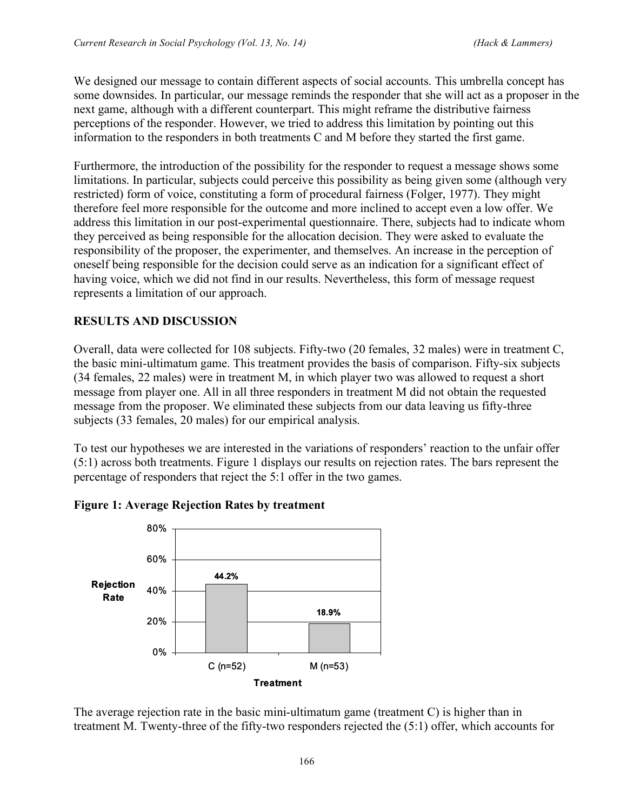We designed our message to contain different aspects of social accounts. This umbrella concept has some downsides. In particular, our message reminds the responder that she will act as a proposer in the next game, although with a different counterpart. This might reframe the distributive fairness perceptions of the responder. However, we tried to address this limitation by pointing out this information to the responders in both treatments C and M before they started the first game.

Furthermore, the introduction of the possibility for the responder to request a message shows some limitations. In particular, subjects could perceive this possibility as being given some (although very restricted) form of voice, constituting a form of procedural fairness (Folger, 1977). They might therefore feel more responsible for the outcome and more inclined to accept even a low offer. We address this limitation in our post-experimental questionnaire. There, subjects had to indicate whom they perceived as being responsible for the allocation decision. They were asked to evaluate the responsibility of the proposer, the experimenter, and themselves. An increase in the perception of oneself being responsible for the decision could serve as an indication for a significant effect of having voice, which we did not find in our results. Nevertheless, this form of message request represents a limitation of our approach.

### **RESULTS AND DISCUSSION**

Overall, data were collected for 108 subjects. Fifty-two (20 females, 32 males) were in treatment C, the basic mini-ultimatum game. This treatment provides the basis of comparison. Fifty-six subjects (34 females, 22 males) were in treatment M, in which player two was allowed to request a short message from player one. All in all three responders in treatment M did not obtain the requested message from the proposer. We eliminated these subjects from our data leaving us fifty-three subjects (33 females, 20 males) for our empirical analysis.

To test our hypotheses we are interested in the variations of responders' reaction to the unfair offer (5:1) across both treatments. Figure 1 displays our results on rejection rates. The bars represent the percentage of responders that reject the 5:1 offer in the two games.





The average rejection rate in the basic mini-ultimatum game (treatment C) is higher than in treatment M. Twenty-three of the fifty-two responders rejected the (5:1) offer, which accounts for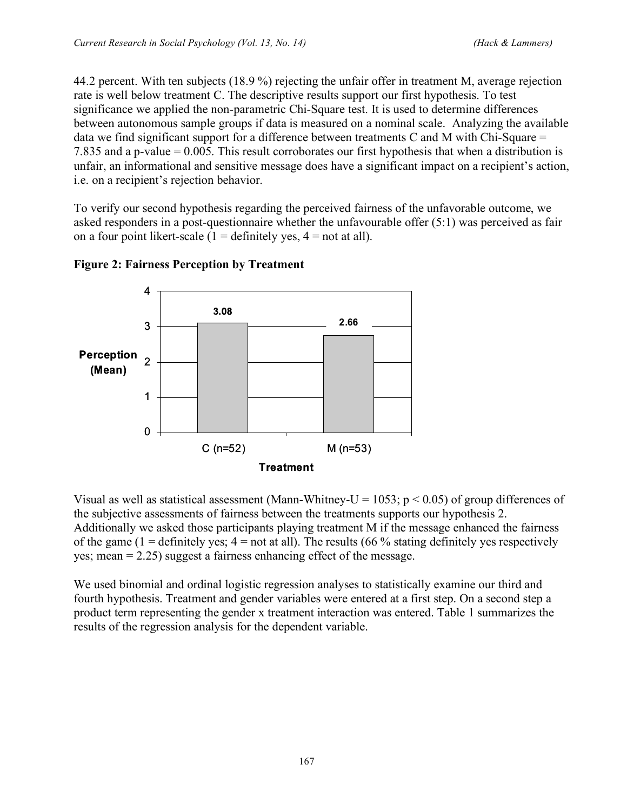44.2 percent. With ten subjects (18.9 %) rejecting the unfair offer in treatment M, average rejection rate is well below treatment C. The descriptive results support our first hypothesis. To test significance we applied the non-parametric Chi-Square test. It is used to determine differences between autonomous sample groups if data is measured on a nominal scale. Analyzing the available data we find significant support for a difference between treatments C and M with Chi-Square  $=$ 7.835 and a p-value = 0.005. This result corroborates our first hypothesis that when a distribution is unfair, an informational and sensitive message does have a significant impact on a recipient's action, i.e. on a recipient's rejection behavior.

To verify our second hypothesis regarding the perceived fairness of the unfavorable outcome, we asked responders in a post-questionnaire whether the unfavourable offer (5:1) was perceived as fair on a four point likert-scale ( $1 =$  definitely yes,  $4 =$  not at all).



### **Figure 2: Fairness Perception by Treatment**

Visual as well as statistical assessment (Mann-Whitney-U = 1053;  $p < 0.05$ ) of group differences of the subjective assessments of fairness between the treatments supports our hypothesis 2. Additionally we asked those participants playing treatment M if the message enhanced the fairness of the game (1 = definitely yes;  $4 =$  not at all). The results (66 % stating definitely yes respectively yes; mean  $= 2.25$ ) suggest a fairness enhancing effect of the message.

We used binomial and ordinal logistic regression analyses to statistically examine our third and fourth hypothesis. Treatment and gender variables were entered at a first step. On a second step a product term representing the gender x treatment interaction was entered. Table 1 summarizes the results of the regression analysis for the dependent variable.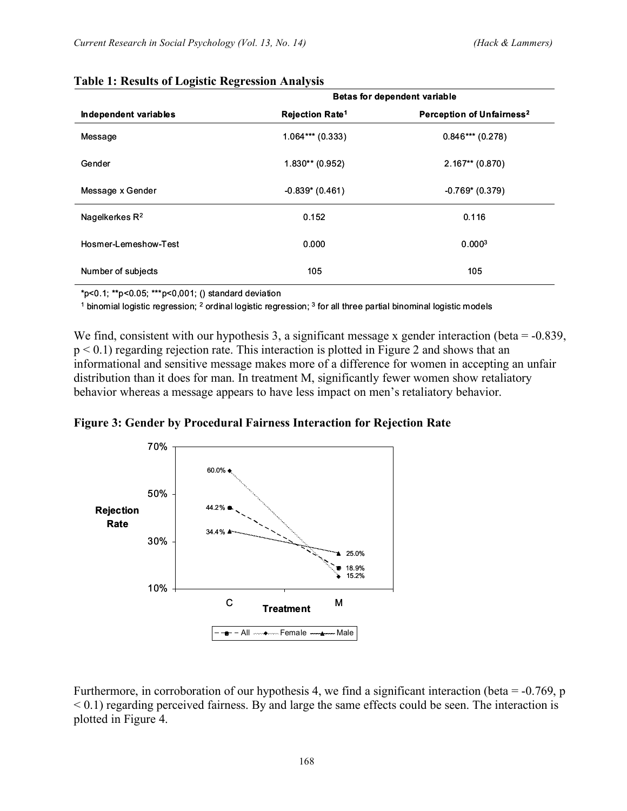|                       | <b>Betas for dependent variable</b> |                                       |  |
|-----------------------|-------------------------------------|---------------------------------------|--|
| Independent variables | <b>Rejection Rate<sup>1</sup></b>   | Perception of Unfairness <sup>2</sup> |  |
| Message               | $1.064***(0.333)$                   | $0.846***(0.278)$                     |  |
| Gender                | $1.830**$ (0.952)                   | $2.167**$ (0.870)                     |  |
| Message x Gender      | $-0.839$ (0.461)                    | $-0.769$ (0.379)                      |  |
| Nagelkerkes $R^2$     | 0.152                               | 0.116                                 |  |
| Hosmer-Lemeshow-Test  | 0.000                               | 0.000 <sup>3</sup>                    |  |
| Number of subjects    | 105                                 | 105                                   |  |

#### **Table 1: Results of Logistic Regression Analysis**

\*p<0.1; \*\*p<0.05; \*\*\*p<0,001; () standard deviation

 $1$  binomial logistic regression;  $2$  ordinal logistic regression;  $3$  for all three partial binominal logistic models

We find, consistent with our hypothesis 3, a significant message x gender interaction (beta = -0.839, p < 0.1) regarding rejection rate. This interaction is plotted in Figure 2 and shows that an informational and sensitive message makes more of a difference for women in accepting an unfair distribution than it does for man. In treatment M, significantly fewer women show retaliatory behavior whereas a message appears to have less impact on men's retaliatory behavior.





Furthermore, in corroboration of our hypothesis 4, we find a significant interaction (beta =  $-0.769$ , p  $\leq$  0.1) regarding perceived fairness. By and large the same effects could be seen. The interaction is plotted in Figure 4.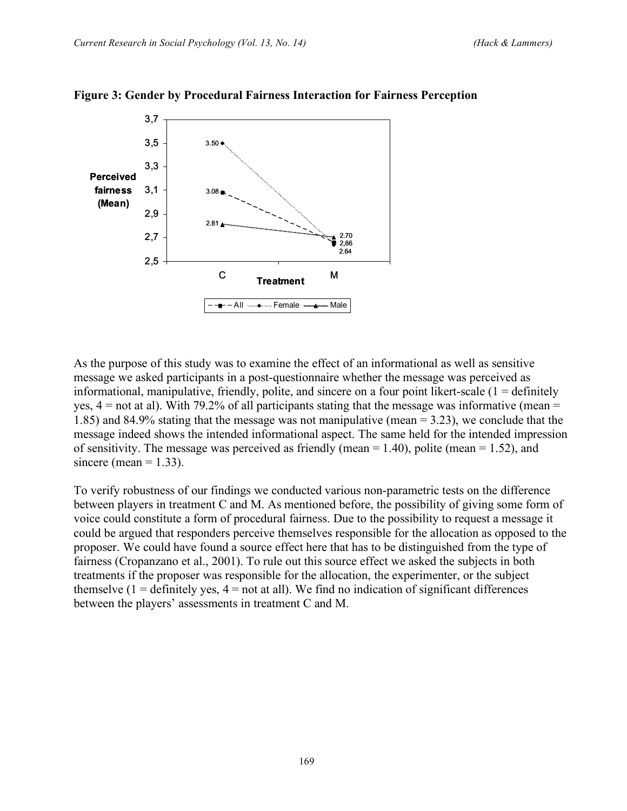

### **Figure 3: Gender by Procedural Fairness Interaction for Fairness Perception**

As the purpose of this study was to examine the effect of an informational as well as sensitive message we asked participants in a post-questionnaire whether the message was perceived as informational, manipulative, friendly, polite, and sincere on a four point likert-scale  $(1 =$  definitely yes,  $4 =$  not at al). With 79.2% of all participants stating that the message was informative (mean  $=$ 1.85) and 84.9% stating that the message was not manipulative (mean = 3.23), we conclude that the message indeed shows the intended informational aspect. The same held for the intended impression of sensitivity. The message was perceived as friendly (mean  $= 1.40$ ), polite (mean  $= 1.52$ ), and sincere (mean  $= 1.33$ ).

To verify robustness of our findings we conducted various non-parametric tests on the difference between players in treatment C and M. As mentioned before, the possibility of giving some form of voice could constitute a form of procedural fairness. Due to the possibility to request a message it could be argued that responders perceive themselves responsible for the allocation as opposed to the proposer. We could have found a source effect here that has to be distinguished from the type of fairness (Cropanzano et al., 2001). To rule out this source effect we asked the subjects in both treatments if the proposer was responsible for the allocation, the experimenter, or the subject themselve  $(1 =$  definitely yes,  $4 =$  not at all). We find no indication of significant differences between the players' assessments in treatment C and M.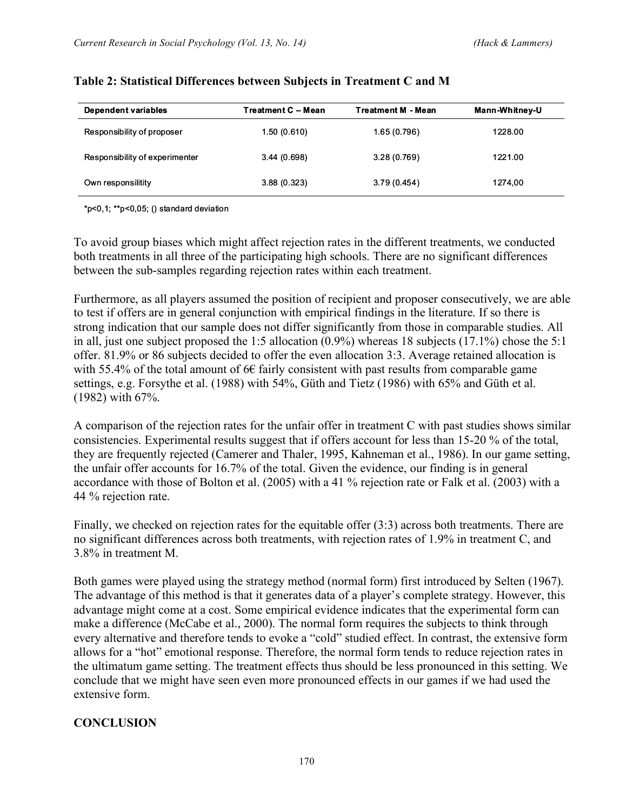| Dependent variables            | Treatment C – Mean | <b>Treatment M - Mean</b> | Mann-Whitney-U |
|--------------------------------|--------------------|---------------------------|----------------|
| Responsibility of proposer     | 1.50(0.610)        | 1.65(0.796)               | 1228.00        |
| Responsibility of experimenter | 3.44(0.698)        | 3.28(0.769)               | 1221.00        |
| Own responsilitity             | 3.88(0.323)        | 3.79(0.454)               | 1274,00        |

### **Table 2: Statistical Differences between Subjects in Treatment C and M**

\*p<0,1; \*\*p<0,05; () standard deviation

To avoid group biases which might affect rejection rates in the different treatments, we conducted both treatments in all three of the participating high schools. There are no significant differences between the sub-samples regarding rejection rates within each treatment.

Furthermore, as all players assumed the position of recipient and proposer consecutively, we are able to test if offers are in general conjunction with empirical findings in the literature. If so there is strong indication that our sample does not differ significantly from those in comparable studies. All in all, just one subject proposed the 1:5 allocation (0.9%) whereas 18 subjects (17.1%) chose the 5:1 offer. 81.9% or 86 subjects decided to offer the even allocation 3:3. Average retained allocation is with 55.4% of the total amount of  $6 \in$  fairly consistent with past results from comparable game settings, e.g. Forsythe et al. (1988) with 54%, Güth and Tietz (1986) with 65% and Güth et al. (1982) with 67%.

A comparison of the rejection rates for the unfair offer in treatment C with past studies shows similar consistencies. Experimental results suggest that if offers account for less than 15-20 % of the total, they are frequently rejected (Camerer and Thaler, 1995, Kahneman et al., 1986). In our game setting, the unfair offer accounts for 16.7% of the total. Given the evidence, our finding is in general accordance with those of Bolton et al. (2005) with a 41 % rejection rate or Falk et al. (2003) with a 44 % rejection rate.

Finally, we checked on rejection rates for the equitable offer (3:3) across both treatments. There are no significant differences across both treatments, with rejection rates of 1.9% in treatment C, and 3.8% in treatment M.

Both games were played using the strategy method (normal form) first introduced by Selten (1967). The advantage of this method is that it generates data of a player's complete strategy. However, this advantage might come at a cost. Some empirical evidence indicates that the experimental form can make a difference (McCabe et al., 2000). The normal form requires the subjects to think through every alternative and therefore tends to evoke a "cold" studied effect. In contrast, the extensive form allows for a "hot" emotional response. Therefore, the normal form tends to reduce rejection rates in the ultimatum game setting. The treatment effects thus should be less pronounced in this setting. We conclude that we might have seen even more pronounced effects in our games if we had used the extensive form.

### **CONCLUSION**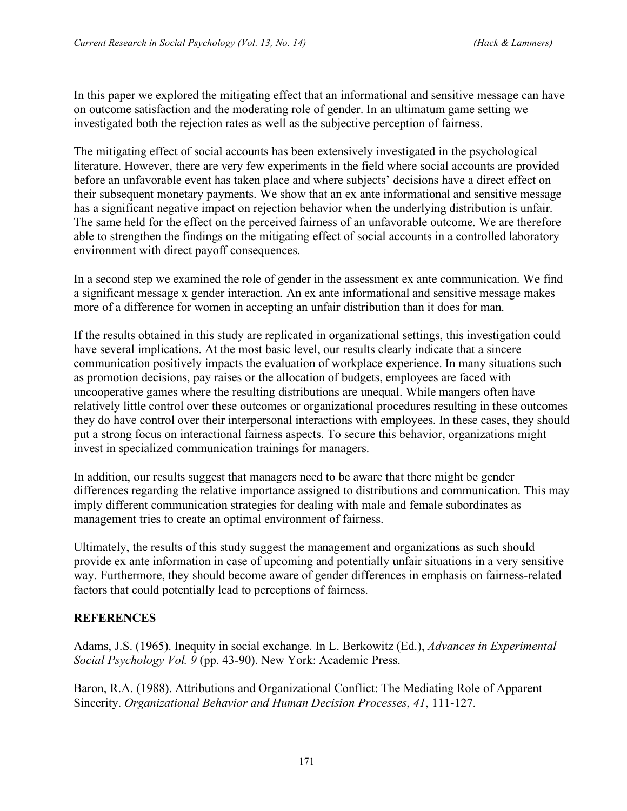In this paper we explored the mitigating effect that an informational and sensitive message can have on outcome satisfaction and the moderating role of gender. In an ultimatum game setting we investigated both the rejection rates as well as the subjective perception of fairness.

The mitigating effect of social accounts has been extensively investigated in the psychological literature. However, there are very few experiments in the field where social accounts are provided before an unfavorable event has taken place and where subjects' decisions have a direct effect on their subsequent monetary payments. We show that an ex ante informational and sensitive message has a significant negative impact on rejection behavior when the underlying distribution is unfair. The same held for the effect on the perceived fairness of an unfavorable outcome. We are therefore able to strengthen the findings on the mitigating effect of social accounts in a controlled laboratory environment with direct payoff consequences.

In a second step we examined the role of gender in the assessment ex ante communication. We find a significant message x gender interaction. An ex ante informational and sensitive message makes more of a difference for women in accepting an unfair distribution than it does for man.

If the results obtained in this study are replicated in organizational settings, this investigation could have several implications. At the most basic level, our results clearly indicate that a sincere communication positively impacts the evaluation of workplace experience. In many situations such as promotion decisions, pay raises or the allocation of budgets, employees are faced with uncooperative games where the resulting distributions are unequal. While mangers often have relatively little control over these outcomes or organizational procedures resulting in these outcomes they do have control over their interpersonal interactions with employees. In these cases, they should put a strong focus on interactional fairness aspects. To secure this behavior, organizations might invest in specialized communication trainings for managers.

In addition, our results suggest that managers need to be aware that there might be gender differences regarding the relative importance assigned to distributions and communication. This may imply different communication strategies for dealing with male and female subordinates as management tries to create an optimal environment of fairness.

Ultimately, the results of this study suggest the management and organizations as such should provide ex ante information in case of upcoming and potentially unfair situations in a very sensitive way. Furthermore, they should become aware of gender differences in emphasis on fairness-related factors that could potentially lead to perceptions of fairness.

### **REFERENCES**

Adams, J.S. (1965). Inequity in social exchange. In L. Berkowitz (Ed.), *Advances in Experimental Social Psychology Vol. 9* (pp. 43-90). New York: Academic Press.

Baron, R.A. (1988). Attributions and Organizational Conflict: The Mediating Role of Apparent Sincerity. *Organizational Behavior and Human Decision Processes*, *41*, 111-127.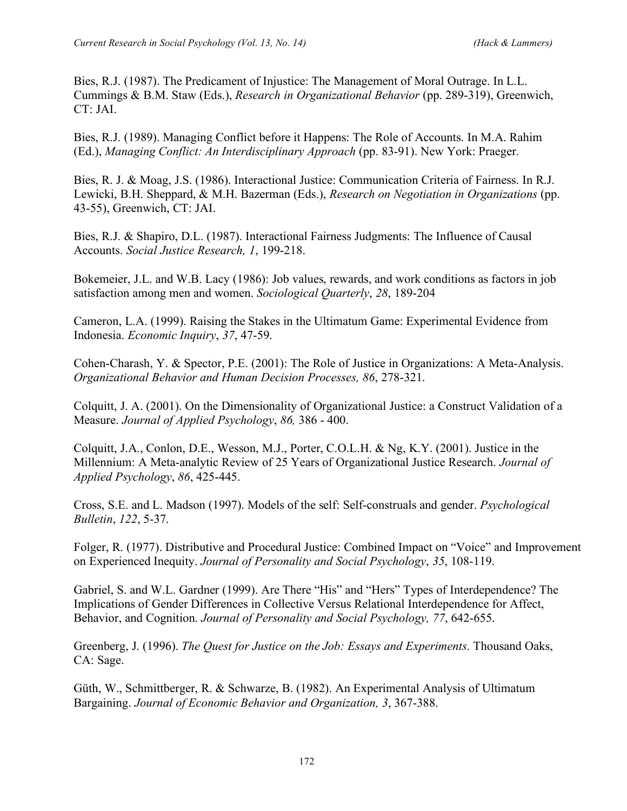Bies, R.J. (1987). The Predicament of Injustice: The Management of Moral Outrage. In L.L. Cummings & B.M. Staw (Eds.), *Research in Organizational Behavior* (pp. 289-319), Greenwich, CT: JAI.

Bies, R.J. (1989). Managing Conflict before it Happens: The Role of Accounts. In M.A. Rahim (Ed.), *Managing Conflict: An Interdisciplinary Approach* (pp. 83-91). New York: Praeger.

Bies, R. J. & Moag, J.S. (1986). Interactional Justice: Communication Criteria of Fairness. In R.J. Lewicki, B.H. Sheppard, & M.H. Bazerman (Eds.), *Research on Negotiation in Organizations* (pp. 43-55), Greenwich, CT: JAI.

Bies, R.J. & Shapiro, D.L. (1987). Interactional Fairness Judgments: The Influence of Causal Accounts. *Social Justice Research, 1*, 199-218.

Bokemeier, J.L. and W.B. Lacy (1986): Job values, rewards, and work conditions as factors in job satisfaction among men and women. *Sociological Quarterly*, *28*, 189-204

Cameron, L.A. (1999). Raising the Stakes in the Ultimatum Game: Experimental Evidence from Indonesia. *Economic Inquiry*, *37*, 47-59.

Cohen-Charash, Y. & Spector, P.E. (2001): The Role of Justice in Organizations: A Meta-Analysis. *Organizational Behavior and Human Decision Processes, 86*, 278-321.

Colquitt, J. A. (2001). On the Dimensionality of Organizational Justice: a Construct Validation of a Measure. *Journal of Applied Psychology*, *86,* 386 - 400.

Colquitt, J.A., Conlon, D.E., Wesson, M.J., Porter, C.O.L.H. & Ng, K.Y. (2001). Justice in the Millennium: A Meta-analytic Review of 25 Years of Organizational Justice Research. *Journal of Applied Psychology*, *86*, 425-445.

Cross, S.E. and L. Madson (1997). Models of the self: Self-construals and gender. *Psychological Bulletin*, *122*, 5-37.

Folger, R. (1977). Distributive and Procedural Justice: Combined Impact on "Voice" and Improvement on Experienced Inequity. *Journal of Personality and Social Psychology*, *35*, 108-119.

Gabriel, S. and W.L. Gardner (1999). Are There "His" and "Hers" Types of Interdependence? The Implications of Gender Differences in Collective Versus Relational Interdependence for Affect, Behavior, and Cognition. *Journal of Personality and Social Psychology, 77*, 642-655.

Greenberg, J. (1996). *The Quest for Justice on the Job: Essays and Experiments*. Thousand Oaks, CA: Sage.

Güth, W., Schmittberger, R. & Schwarze, B. (1982). An Experimental Analysis of Ultimatum Bargaining. *Journal of Economic Behavior and Organization, 3*, 367-388.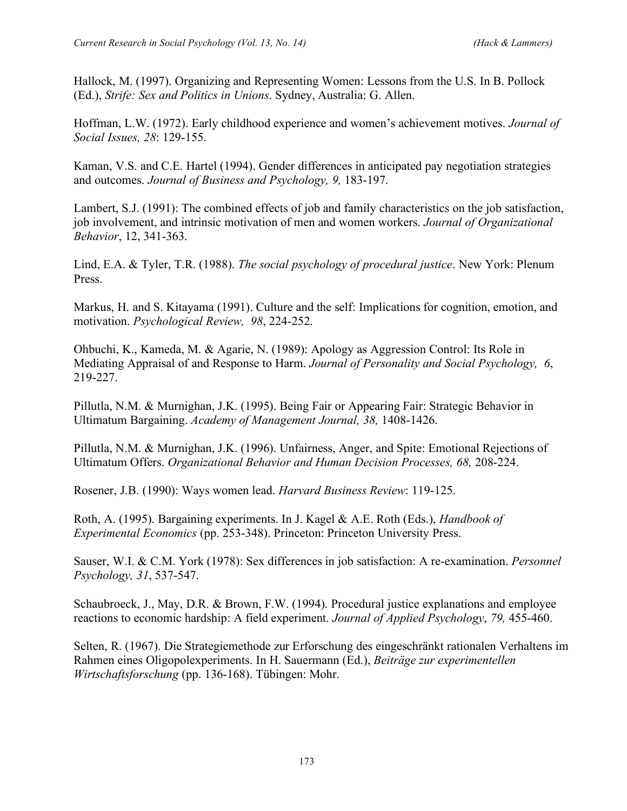Hallock, M. (1997). Organizing and Representing Women: Lessons from the U.S. In B. Pollock (Ed.), *Strife: Sex and Politics in Unions*. Sydney, Australia: G. Allen.

Hoffman, L.W. (1972). Early childhood experience and women's achievement motives. *Journal of Social Issues, 28*: 129-155.

Kaman, V.S. and C.E. Hartel (1994). Gender differences in anticipated pay negotiation strategies and outcomes. *Journal of Business and Psychology, 9,* 183-197.

Lambert, S.J. (1991): The combined effects of job and family characteristics on the job satisfaction, job involvement, and intrinsic motivation of men and women workers. *Journal of Organizational Behavior*, 12, 341-363.

Lind, E.A. & Tyler, T.R. (1988). *The social psychology of procedural justice*. New York: Plenum Press.

Markus, H. and S. Kitayama (1991). Culture and the self: Implications for cognition, emotion, and motivation. *Psychological Review, 98*, 224-252.

Ohbuchi, K., Kameda, M. & Agarie, N. (1989): Apology as Aggression Control: Its Role in Mediating Appraisal of and Response to Harm. *Journal of Personality and Social Psychology, 6*, 219-227.

Pillutla, N.M. & Murnighan, J.K. (1995). Being Fair or Appearing Fair: Strategic Behavior in Ultimatum Bargaining. *Academy of Management Journal, 38,* 1408-1426.

Pillutla, N.M. & Murnighan, J.K. (1996). Unfairness, Anger, and Spite: Emotional Rejections of Ultimatum Offers. *Organizational Behavior and Human Decision Processes, 68,* 208-224.

Rosener, J.B. (1990): Ways women lead. *Harvard Business Review*: 119-125.

Roth, A. (1995). Bargaining experiments. In J. Kagel & A.E. Roth (Eds.), *Handbook of Experimental Economics* (pp. 253-348). Princeton: Princeton University Press.

Sauser, W.I. & C.M. York (1978): Sex differences in job satisfaction: A re-examination. *Personnel Psychology, 31*, 537-547.

Schaubroeck, J., May, D.R. & Brown, F.W. (1994). Procedural justice explanations and employee reactions to economic hardship: A field experiment. *Journal of Applied Psychology*, *79,* 455-460.

Selten, R. (1967). Die Strategiemethode zur Erforschung des eingeschränkt rationalen Verhaltens im Rahmen eines Oligopolexperiments. In H. Sauermann (Ed.), *Beiträge zur experimentellen Wirtschaftsforschung* (pp. 136-168). Tübingen: Mohr.